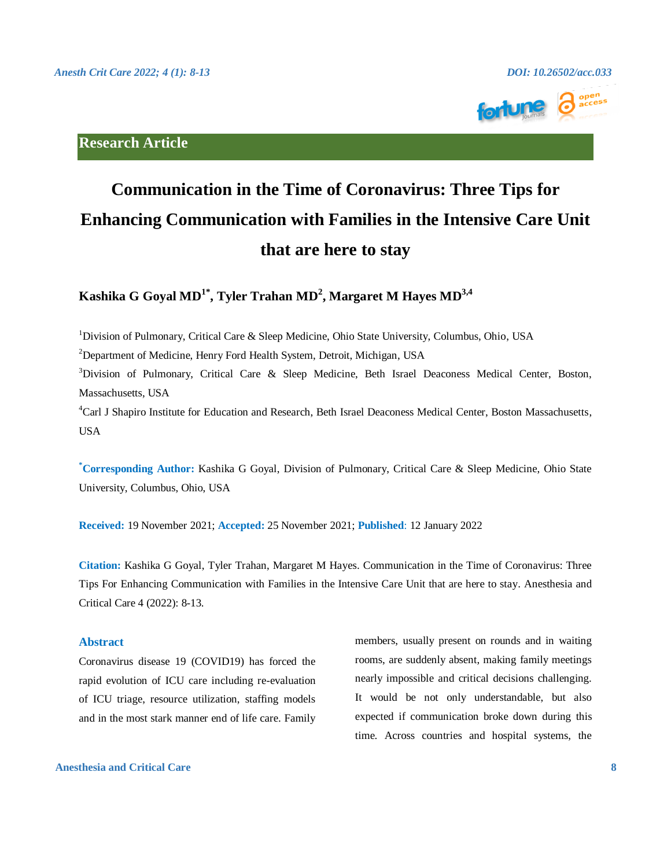

### **Research Article**

# **Communication in the Time of Coronavirus: Three Tips for Enhancing Communication with Families in the Intensive Care Unit that are here to stay**

**Kashika G Goyal MD1\* , Tyler Trahan MD<sup>2</sup> , Margaret M Hayes MD3,4**

<sup>1</sup>Division of Pulmonary, Critical Care & Sleep Medicine, Ohio State University, Columbus, Ohio, USA

<sup>2</sup>Department of Medicine, Henry Ford Health System, Detroit, Michigan, USA

<sup>3</sup>Division of Pulmonary, Critical Care & Sleep Medicine, Beth Israel Deaconess Medical Center, Boston, Massachusetts, USA

<sup>4</sup>Carl J Shapiro Institute for Education and Research, Beth Israel Deaconess Medical Center, Boston Massachusetts, USA

**\*Corresponding Author:** Kashika G Goyal, Division of Pulmonary, Critical Care & Sleep Medicine, Ohio State University, Columbus, Ohio, USA

**Received:** 19 November 2021; **Accepted:** 25 November 2021; **Published**: 12 January 2022

**Citation:** Kashika G Goyal, Tyler Trahan, Margaret M Hayes. Communication in the Time of Coronavirus: Three Tips For Enhancing Communication with Families in the Intensive Care Unit that are here to stay. Anesthesia and Critical Care 4 (2022): 8-13.

#### **Abstract**

Coronavirus disease 19 (COVID19) has forced the rapid evolution of ICU care including re-evaluation of ICU triage, resource utilization, staffing models and in the most stark manner end of life care. Family members, usually present on rounds and in waiting rooms, are suddenly absent, making family meetings nearly impossible and critical decisions challenging. It would be not only understandable, but also expected if communication broke down during this time. Across countries and hospital systems, the

### **Anesthesia and Critical Care 8**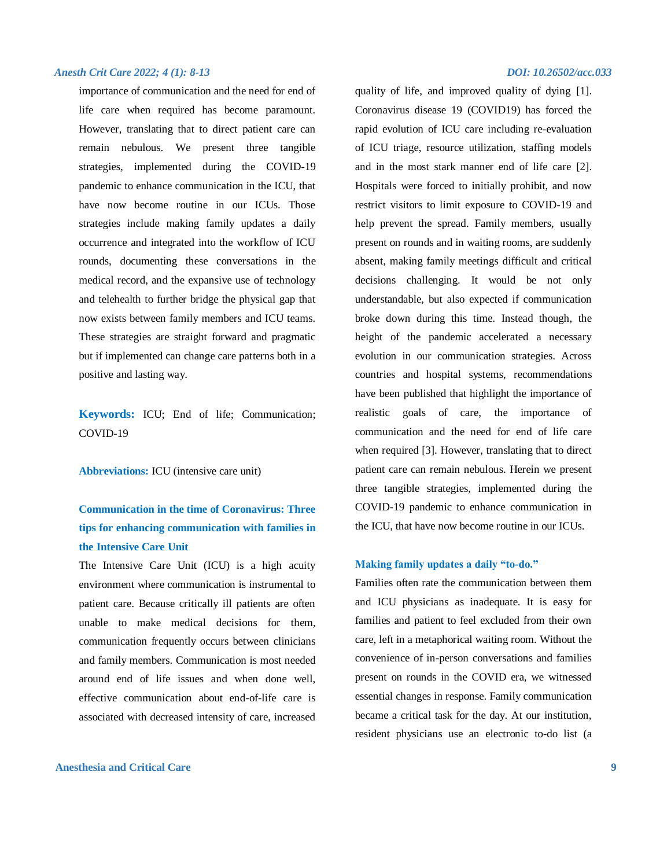importance of communication and the need for end of life care when required has become paramount. However, translating that to direct patient care can remain nebulous. We present three tangible strategies, implemented during the COVID-19 pandemic to enhance communication in the ICU, that have now become routine in our ICUs. Those strategies include making family updates a daily occurrence and integrated into the workflow of ICU rounds, documenting these conversations in the medical record, and the expansive use of technology and telehealth to further bridge the physical gap that now exists between family members and ICU teams. These strategies are straight forward and pragmatic but if implemented can change care patterns both in a positive and lasting way.

**Keywords:** ICU; End of life; Communication; COVID-19

**Abbreviations:** ICU (intensive care unit)

# **Communication in the time of Coronavirus: Three tips for enhancing communication with families in the Intensive Care Unit**

The Intensive Care Unit (ICU) is a high acuity environment where communication is instrumental to patient care. Because critically ill patients are often unable to make medical decisions for them, communication frequently occurs between clinicians and family members. Communication is most needed around end of life issues and when done well, effective communication about end-of-life care is associated with decreased intensity of care, increased

#### **Anesthesia and Critical Care 9**

quality of life, and improved quality of dying [1]. Coronavirus disease 19 (COVID19) has forced the rapid evolution of ICU care including re-evaluation of ICU triage, resource utilization, staffing models and in the most stark manner end of life care [2]. Hospitals were forced to initially prohibit, and now restrict visitors to limit exposure to COVID-19 and help prevent the spread. Family members, usually present on rounds and in waiting rooms, are suddenly absent, making family meetings difficult and critical decisions challenging. It would be not only understandable, but also expected if communication broke down during this time. Instead though, the height of the pandemic accelerated a necessary evolution in our communication strategies. Across countries and hospital systems, recommendations have been published that highlight the importance of realistic goals of care, the importance of communication and the need for end of life care when required [3]. However, translating that to direct patient care can remain nebulous. Herein we present three tangible strategies, implemented during the COVID-19 pandemic to enhance communication in the ICU, that have now become routine in our ICUs.

#### **Making family updates a daily "to-do."**

Families often rate the communication between them and ICU physicians as inadequate. It is easy for families and patient to feel excluded from their own care, left in a metaphorical waiting room. Without the convenience of in-person conversations and families present on rounds in the COVID era, we witnessed essential changes in response. Family communication became a critical task for the day. At our institution, resident physicians use an electronic to-do list (a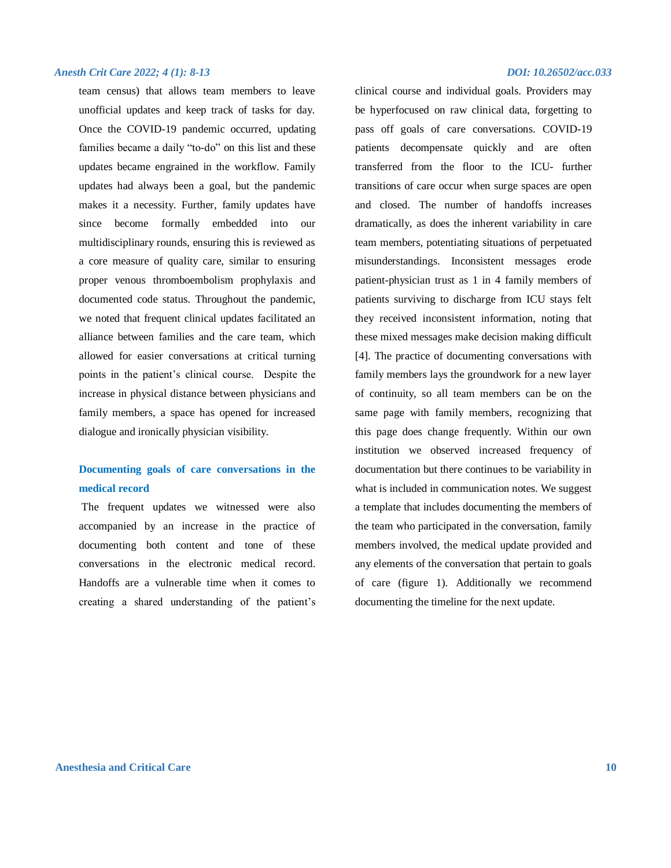team census) that allows team members to leave unofficial updates and keep track of tasks for day. Once the COVID-19 pandemic occurred, updating families became a daily "to-do" on this list and these updates became engrained in the workflow. Family updates had always been a goal, but the pandemic makes it a necessity. Further, family updates have since become formally embedded into our multidisciplinary rounds, ensuring this is reviewed as a core measure of quality care, similar to ensuring proper venous thromboembolism prophylaxis and documented code status. Throughout the pandemic, we noted that frequent clinical updates facilitated an alliance between families and the care team, which allowed for easier conversations at critical turning points in the patient's clinical course. Despite the increase in physical distance between physicians and family members, a space has opened for increased dialogue and ironically physician visibility.

## **Documenting goals of care conversations in the medical record**

The frequent updates we witnessed were also accompanied by an increase in the practice of documenting both content and tone of these conversations in the electronic medical record. Handoffs are a vulnerable time when it comes to creating a shared understanding of the patient's

clinical course and individual goals. Providers may be hyperfocused on raw clinical data, forgetting to pass off goals of care conversations. COVID-19 patients decompensate quickly and are often transferred from the floor to the ICU- further transitions of care occur when surge spaces are open and closed. The number of handoffs increases dramatically, as does the inherent variability in care team members, potentiating situations of perpetuated misunderstandings. Inconsistent messages erode patient-physician trust as 1 in 4 family members of patients surviving to discharge from ICU stays felt they received inconsistent information, noting that these mixed messages make decision making difficult [4]. The practice of documenting conversations with family members lays the groundwork for a new layer of continuity, so all team members can be on the same page with family members, recognizing that this page does change frequently. Within our own institution we observed increased frequency of documentation but there continues to be variability in what is included in communication notes. We suggest a template that includes documenting the members of the team who participated in the conversation, family members involved, the medical update provided and any elements of the conversation that pertain to goals of care (figure 1). Additionally we recommend documenting the timeline for the next update.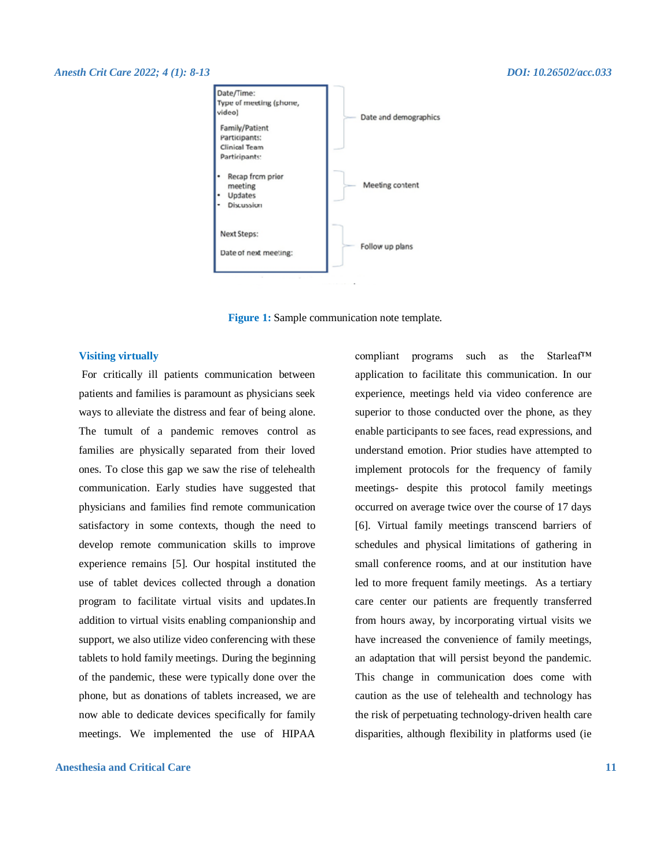

**Figure 1:** Sample communication note template.

#### **Visiting virtually**

For critically ill patients communication between patients and families is paramount as physicians seek ways to alleviate the distress and fear of being alone. The tumult of a pandemic removes control as families are physically separated from their loved ones. To close this gap we saw the rise of telehealth communication. Early studies have suggested that physicians and families find remote communication satisfactory in some contexts, though the need to develop remote communication skills to improve experience remains [5]. Our hospital instituted the use of tablet devices collected through a donation program to facilitate virtual visits and updates.In addition to virtual visits enabling companionship and support, we also utilize video conferencing with these tablets to hold family meetings. During the beginning of the pandemic, these were typically done over the phone, but as donations of tablets increased, we are now able to dedicate devices specifically for family meetings. We implemented the use of HIPAA

#### **Anesthesia and Critical Care 11**

compliant programs such as the Starleaf™ application to facilitate this communication. In our experience, meetings held via video conference are superior to those conducted over the phone, as they enable participants to see faces, read expressions, and understand emotion. Prior studies have attempted to implement protocols for the frequency of family meetings- despite this protocol family meetings occurred on average twice over the course of 17 days [6]. Virtual family meetings transcend barriers of schedules and physical limitations of gathering in small conference rooms, and at our institution have led to more frequent family meetings. As a tertiary care center our patients are frequently transferred from hours away, by incorporating virtual visits we have increased the convenience of family meetings, an adaptation that will persist beyond the pandemic. This change in communication does come with caution as the use of telehealth and technology has the risk of perpetuating technology-driven health care disparities, although flexibility in platforms used (ie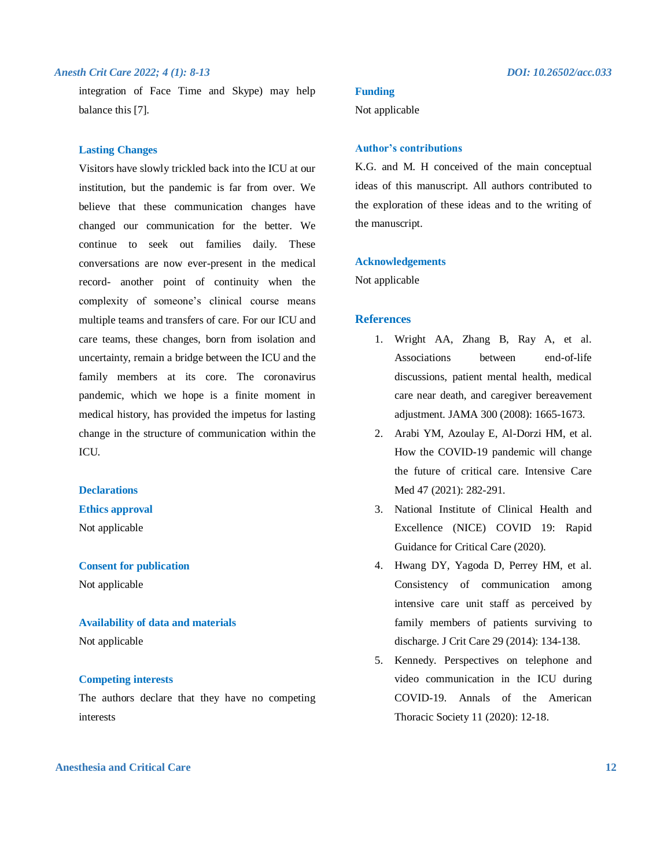integration of Face Time and Skype) may help balance this [7].

#### **Lasting Changes**

Visitors have slowly trickled back into the ICU at our institution, but the pandemic is far from over. We believe that these communication changes have changed our communication for the better. We continue to seek out families daily. These conversations are now ever-present in the medical record- another point of continuity when the complexity of someone's clinical course means multiple teams and transfers of care. For our ICU and care teams, these changes, born from isolation and uncertainty, remain a bridge between the ICU and the family members at its core. The coronavirus pandemic, which we hope is a finite moment in medical history, has provided the impetus for lasting change in the structure of communication within the ICU.

### **Declarations**

#### **Ethics approval**

Not applicable

#### **Consent for publication**

Not applicable

#### **Availability of data and materials**

Not applicable

#### **Competing interests**

The authors declare that they have no competing interests

#### **Anesthesia and Critical Care 12**

#### **Funding**

Not applicable

#### **Author's contributions**

K.G. and M. H conceived of the main conceptual ideas of this manuscript. All authors contributed to the exploration of these ideas and to the writing of the manuscript.

#### **Acknowledgements**

Not applicable

#### **References**

- 1. Wright AA, Zhang B, Ray A, et al. Associations between end-of-life discussions, patient mental health, medical care near death, and caregiver bereavement adjustment. JAMA 300 (2008): 1665-1673.
- 2. Arabi YM, Azoulay E, Al-Dorzi HM, et al. How the COVID-19 pandemic will change the future of critical care. Intensive Care Med 47 (2021): 282-291.
- 3. National Institute of Clinical Health and Excellence (NICE) COVID 19: Rapid Guidance for Critical Care (2020).
- 4. Hwang DY, Yagoda D, Perrey HM, et al. Consistency of communication among intensive care unit staff as perceived by family members of patients surviving to discharge. J Crit Care 29 (2014): 134-138.
- 5. Kennedy. Perspectives on telephone and video communication in the ICU during COVID-19. Annals of the American Thoracic Society 11 (2020): 12-18.